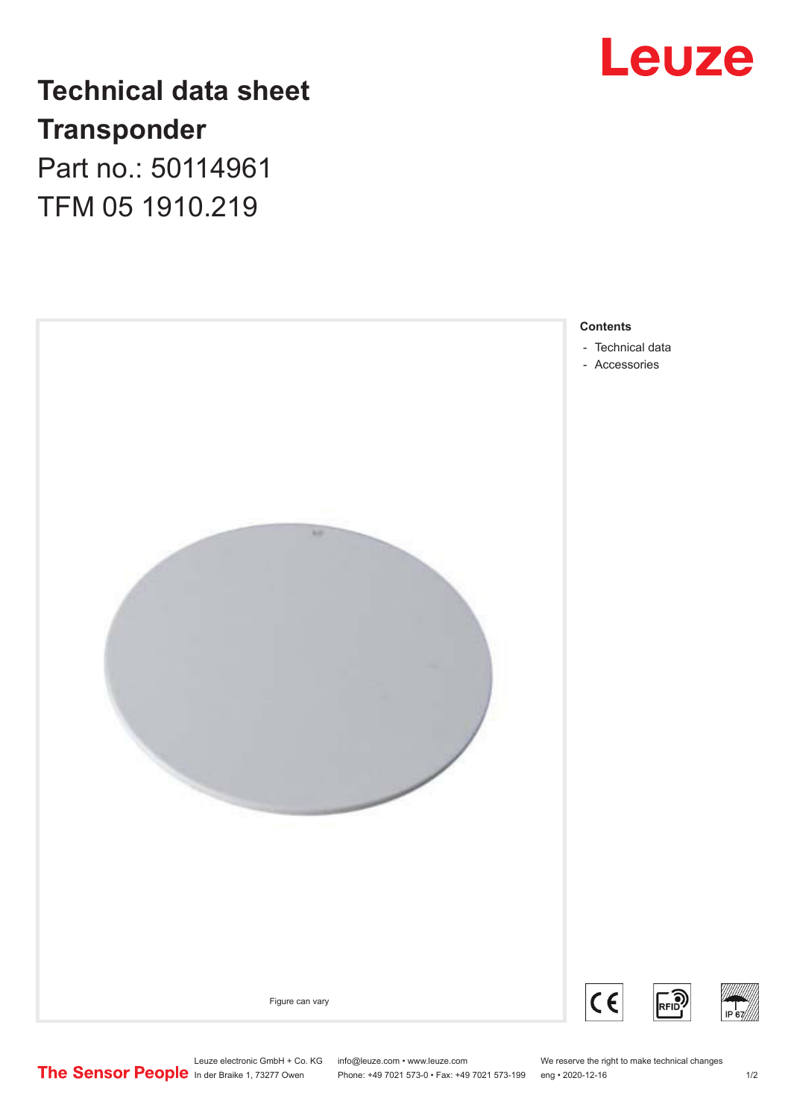

## **Technical data sheet Transponder** Part no.: 50114961

TFM 05 1910.219



Leuze electronic GmbH + Co. KG info@leuze.com • www.leuze.com We reserve the right to make technical changes<br>
The Sensor People in der Braike 1, 73277 Owen Phone: +49 7021 573-0 • Fax: +49 7021 573-199 eng • 2020-12-16

Phone: +49 7021 573-0 • Fax: +49 7021 573-199 eng • 2020-12-16